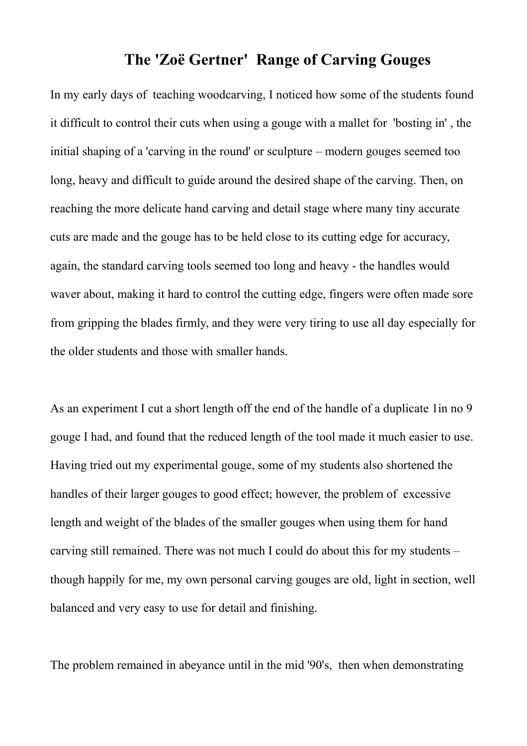## **The 'Zoë Gertner' Range of Carving Gouges**

In my early days of teaching woodcarving, I noticed how some of the students found it difficult to control their cuts when using a gouge with a mallet for 'bosting in' , the initial shaping of a 'carving in the round' or sculpture – modern gouges seemed too long, heavy and difficult to guide around the desired shape of the carving. Then, on reaching the more delicate hand carving and detail stage where many tiny accurate cuts are made and the gouge has to be held close to its cutting edge for accuracy, again, the standard carving tools seemed too long and heavy - the handles would waver about, making it hard to control the cutting edge, fingers were often made sore from gripping the blades firmly, and they were very tiring to use all day especially for the older students and those with smaller hands.

As an experiment I cut a short length off the end of the handle of a duplicate 1in no 9 gouge I had, and found that the reduced length of the tool made it much easier to use. Having tried out my experimental gouge, some of my students also shortened the handles of their larger gouges to good effect; however, the problem of excessive length and weight of the blades of the smaller gouges when using them for hand carving still remained. There was not much I could do about this for my students – though happily for me, my own personal carving gouges are old, light in section, well balanced and very easy to use for detail and finishing.

The problem remained in abeyance until in the mid '90's, then when demonstrating